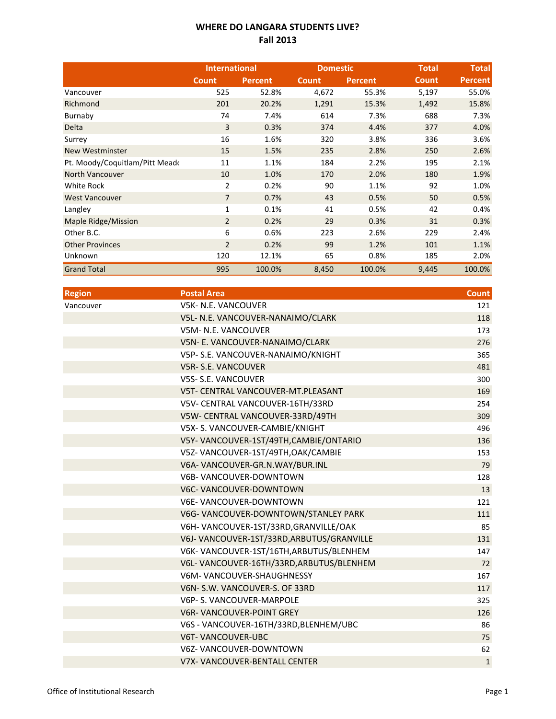## **WHERE DO LANGARA STUDENTS LIVE? Fall 2013**

|                               | <b>International</b> |         | <b>Domestic</b> |                | <b>Total</b> | <b>Total</b>   |
|-------------------------------|----------------------|---------|-----------------|----------------|--------------|----------------|
|                               | <b>Count</b>         | Percent | <b>Count</b>    | <b>Percent</b> | <b>Count</b> | <b>Percent</b> |
| Vancouver                     | 525                  | 52.8%   | 4,672           | 55.3%          | 5,197        | 55.0%          |
| Richmond                      | 201                  | 20.2%   | 1,291           | 15.3%          | 1,492        | 15.8%          |
| Burnaby                       | 74                   | 7.4%    | 614             | 7.3%           | 688          | 7.3%           |
| Delta                         | 3                    | 0.3%    | 374             | 4.4%           | 377          | 4.0%           |
| Surrey                        | 16                   | 1.6%    | 320             | 3.8%           | 336          | 3.6%           |
| <b>New Westminster</b>        | 15                   | 1.5%    | 235             | 2.8%           | 250          | 2.6%           |
| Pt. Moody/Coquitlam/Pitt Mead | 11                   | 1.1%    | 184             | 2.2%           | 195          | 2.1%           |
| North Vancouver               | 10                   | 1.0%    | 170             | 2.0%           | 180          | 1.9%           |
| White Rock                    | 2                    | 0.2%    | 90              | 1.1%           | 92           | 1.0%           |
| <b>West Vancouver</b>         | $\overline{7}$       | 0.7%    | 43              | 0.5%           | 50           | 0.5%           |
| Langley                       | $\mathbf{1}$         | 0.1%    | 41              | 0.5%           | 42           | 0.4%           |
| Maple Ridge/Mission           | $\overline{2}$       | 0.2%    | 29              | 0.3%           | 31           | 0.3%           |
| Other B.C.                    | 6                    | 0.6%    | 223             | 2.6%           | 229          | 2.4%           |
| <b>Other Provinces</b>        | $\overline{2}$       | 0.2%    | 99              | 1.2%           | 101          | 1.1%           |
| Unknown                       | 120                  | 12.1%   | 65              | 0.8%           | 185          | 2.0%           |
| <b>Grand Total</b>            | 995                  | 100.0%  | 8,450           | 100.0%         | 9,445        | 100.0%         |

| <b>Postal Area</b>                        | <b>Count</b> |
|-------------------------------------------|--------------|
| <b>V5K- N.E. VANCOUVER</b>                | 121          |
| V5L- N.E. VANCOUVER-NANAIMO/CLARK         | 118          |
| V5M- N.E. VANCOUVER                       | 173          |
| V5N- E. VANCOUVER-NANAIMO/CLARK           | 276          |
| V5P- S.E. VANCOUVER-NANAIMO/KNIGHT        | 365          |
| V5R-S.E. VANCOUVER                        | 481          |
| <b>V5S- S.E. VANCOUVER</b>                | 300          |
| V5T- CENTRAL VANCOUVER-MT.PLEASANT        | 169          |
| V5V- CENTRAL VANCOUVER-16TH/33RD          | 254          |
| V5W- CENTRAL VANCOUVER-33RD/49TH          | 309          |
| V5X- S. VANCOUVER-CAMBIE/KNIGHT           | 496          |
| V5Y- VANCOUVER-1ST/49TH, CAMBIE/ONTARIO   | 136          |
| V5Z-VANCOUVER-1ST/49TH, OAK/CAMBIE        | 153          |
| V6A-VANCOUVER-GR.N.WAY/BUR.INL            | 79           |
| V6B-VANCOUVER-DOWNTOWN                    | 128          |
| V6C- VANCOUVER-DOWNTOWN                   | 13           |
| <b>V6E- VANCOUVER-DOWNTOWN</b>            | 121          |
| V6G- VANCOUVER-DOWNTOWN/STANLEY PARK      | 111          |
| V6H-VANCOUVER-1ST/33RD, GRANVILLE/OAK     | 85           |
| V6J-VANCOUVER-1ST/33RD, ARBUTUS/GRANVILLE | 131          |
| V6K-VANCOUVER-1ST/16TH, ARBUTUS/BLENHEM   | 147          |
| V6L-VANCOUVER-16TH/33RD, ARBUTUS/BLENHEM  | 72           |
| V6M-VANCOUVER-SHAUGHNESSY                 | 167          |
| V6N-S.W. VANCOUVER-S. OF 33RD             | 117          |
| V6P- S. VANCOUVER-MARPOLE                 | 325          |
| <b>V6R- VANCOUVER-POINT GREY</b>          | 126          |
| V6S - VANCOUVER-16TH/33RD, BLENHEM/UBC    | 86           |
| <b>V6T-VANCOUVER-UBC</b>                  | 75           |
| V6Z-VANCOUVER-DOWNTOWN                    | 62           |
| <b>V7X- VANCOUVER-BENTALL CENTER</b>      | $\mathbf{1}$ |
|                                           |              |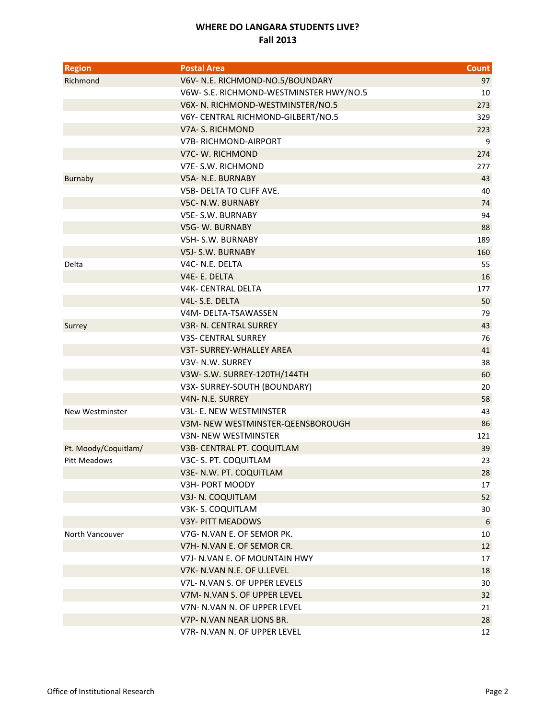## **WHERE DO LANGARA STUDENTS LIVE? Fall 2013**

| <b>Region</b>        | <b>Postal Area</b>                                            | <b>Count</b> |
|----------------------|---------------------------------------------------------------|--------------|
| Richmond             | V6V- N.E. RICHMOND-NO.5/BOUNDARY                              | 97           |
|                      | V6W- S.E. RICHMOND-WESTMINSTER HWY/NO.5                       | 10           |
|                      | V6X- N. RICHMOND-WESTMINSTER/NO.5                             | 273          |
|                      | V6Y- CENTRAL RICHMOND-GILBERT/NO.5                            | 329          |
|                      | V7A-S. RICHMOND                                               | 223          |
|                      | <b>V7B-RICHMOND-AIRPORT</b>                                   | 9            |
|                      | V7C-W. RICHMOND                                               | 274          |
|                      | V7E-S.W. RICHMOND                                             | 277          |
| <b>Burnaby</b>       | V5A- N.E. BURNABY                                             | 43           |
|                      | V5B- DELTA TO CLIFF AVE.                                      | 40           |
|                      | V5C- N.W. BURNABY                                             | 74           |
|                      | <b>V5E-S.W. BURNABY</b>                                       | 94           |
|                      | V5G-W. BURNABY                                                | 88           |
|                      | V5H-S.W. BURNABY                                              | 189          |
|                      | V5J-S.W. BURNABY                                              | 160          |
| Delta                | V4C- N.E. DELTA                                               | 55           |
|                      | V4E-E. DELTA                                                  | 16           |
|                      | <b>V4K- CENTRAL DELTA</b>                                     | 177          |
|                      | V4L-S.E. DELTA                                                | 50           |
|                      | V4M-DELTA-TSAWASSEN                                           | 79           |
| Surrey               | V3R- N. CENTRAL SURREY                                        | 43           |
|                      | <b>V3S- CENTRAL SURREY</b>                                    | 76           |
|                      | V3T- SURREY-WHALLEY AREA                                      | 41           |
|                      | V3V- N.W. SURREY                                              | 38           |
|                      | V3W- S.W. SURREY-120TH/144TH                                  | 60           |
|                      | V3X-SURREY-SOUTH (BOUNDARY)                                   | 20           |
|                      | V4N- N.E. SURREY                                              | 58           |
| New Westminster      | V3L- E. NEW WESTMINSTER                                       | 43           |
|                      | V3M- NEW WESTMINSTER-QEENSBOROUGH                             | 86           |
|                      | V3N- NEW WESTMINSTER                                          | 121          |
| Pt. Moody/Coquitlam/ | V3B- CENTRAL PT. COQUITLAM                                    | 39           |
| <b>Pitt Meadows</b>  | V3C- S. PT. COQUITLAM                                         | 23           |
|                      | V3E- N.W. PT. COQUITLAM                                       | 28           |
|                      | V3H- PORT MOODY                                               | 17           |
|                      | V3J- N. COQUITLAM                                             | 52           |
|                      | V3K-S. COQUITLAM                                              | 30           |
|                      | V3Y- PITT MEADOWS                                             | 6            |
| North Vancouver      | V7G- N.VAN E. OF SEMOR PK.                                    | 10           |
|                      | V7H- N.VAN E. OF SEMOR CR.<br>V7J- N.VAN E. OF MOUNTAIN HWY   | 12           |
|                      |                                                               | 17           |
|                      | V7K- N.VAN N.E. OF U.LEVEL                                    | 18           |
|                      | V7L- N.VAN S. OF UPPER LEVELS<br>V7M- N.VAN S. OF UPPER LEVEL | 30           |
|                      | V7N- N.VAN N. OF UPPER LEVEL                                  | 32<br>21     |
|                      | V7P- N.VAN NEAR LIONS BR.                                     |              |
|                      | V7R- N.VAN N. OF UPPER LEVEL                                  | 28           |
|                      |                                                               | 12           |